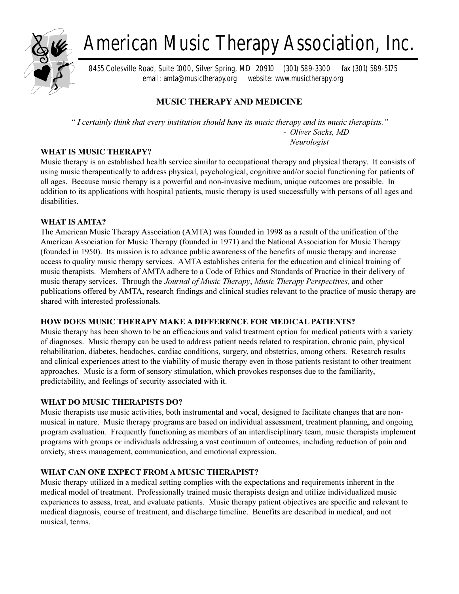

# **American Music Therapy Association, Inc.**

8455 Colesville Road, Suite 1000, Silver Spring, MD 20910 (301) 589-3300 fax (301) 589-5175 

# **MUSIC THERAPY AND MEDICINE**

"I certainly think that every institution should have its music therapy and its music therapists." - Oliver Sacks, MD Neurologist

## **WHAT IS MUSIC THERAPY?**

Music therapy is an established health service similar to occupational therapy and physical therapy. It consists of using music therapeutically to address physical, psychological, cognitive and/or social functioning for patients of all ages. Because music therapy is a powerful and non-invasive medium, unique outcomes are possible. In addition to its applications with hospital patients, music therapy is used successfully with persons of all ages and disabilities.

## **WHAT IS AMTA?**

The American Music Therapy Association (AMTA) was founded in 1998 as a result of the unification of the American Association for Music Therapy (founded in 1971) and the National Association for Music Therapy (founded in 1950). Its mission is to advance public awareness of the benefits of music therapy and increase access to quality music therapy services. AMTA establishes criteria for the education and clinical training of music therapists. Members of AMTA adhere to a Code of Ethics and Standards of Practice in their delivery of music therapy services. Through the Journal of Music Therapy, Music Therapy Perspectives, and other publications offered by AMTA, research findings and clinical studies relevant to the practice of music therapy are shared with interested professionals.

# HOW DOES MUSIC THERAPY MAKE A DIFFERENCE FOR MEDICAL PATIENTS?

Music therapy has been shown to be an efficacious and valid treatment option for medical patients with a variety of diagnoses. Music therapy can be used to address patient needs related to respiration, chronic pain, physical rehabilitation, diabetes, headaches, cardiac conditions, surgery, and obstetrics, among others. Research results and clinical experiences attest to the viability of music therapy even in those patients resistant to other treatment approaches. Music is a form of sensory stimulation, which provokes responses due to the familiarity, predictability, and feelings of security associated with it.

# **WHAT DO MUSIC THERAPISTS DO?**

Music therapists use music activities, both instrumental and vocal, designed to facilitate changes that are nonmusical in nature. Music therapy programs are based on individual assessment, treatment planning, and ongoing program evaluation. Frequently functioning as members of an interdisciplinary team, music therapists implement programs with groups or individuals addressing a vast continuum of outcomes, including reduction of pain and anxiety, stress management, communication, and emotional expression.

# WHAT CAN ONE EXPECT FROM A MUSIC THERAPIST?

Music therapy utilized in a medical setting complies with the expectations and requirements inherent in the medical model of treatment. Professionally trained music therapists design and utilize individualized music experiences to assess, treat, and evaluate patients. Music therapy patient objectives are specific and relevant to medical diagnosis, course of treatment, and discharge timeline. Benefits are described in medical, and not musical, terms.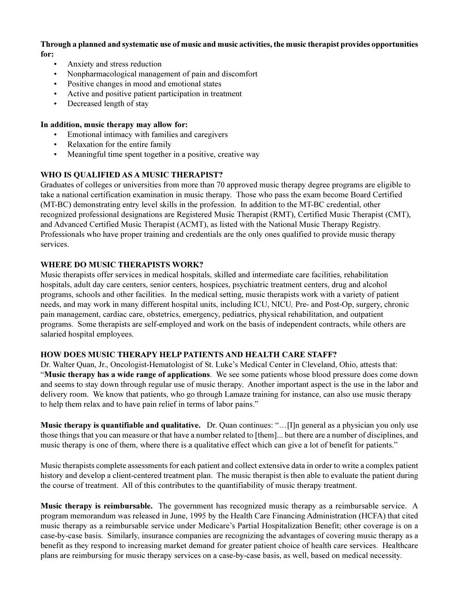#### Through a planned and systematic use of music and music activities, the music therapist provides opportunities for:

- Anxiety and stress reduction
- Nonpharmacological management of pain and discomfort
- Positive changes in mood and emotional states
- Active and positive patient participation in treatment
- Decreased length of stay  $\bullet$

#### In addition, music therapy may allow for:

- Emotional intimacy with families and caregivers
- Relaxation for the entire family
- Meaningful time spent together in a positive, creative way  $\bullet$

#### WHO IS QUALIFIED AS A MUSIC THERAPIST?

Graduates of colleges or universities from more than 70 approved music therapy degree programs are eligible to take a national certification examination in music therapy. Those who pass the exam become Board Certified (MT-BC) demonstrating entry level skills in the profession. In addition to the MT-BC credential, other recognized professional designations are Registered Music Therapist (RMT), Certified Music Therapist (CMT), and Advanced Certified Music Therapist (ACMT), as listed with the National Music Therapy Registry. Professionals who have proper training and credentials are the only ones qualified to provide music therapy services.

#### **WHERE DO MUSIC THERAPISTS WORK?**

Music therapists offer services in medical hospitals, skilled and intermediate care facilities, rehabilitation hospitals, adult day care centers, senior centers, hospices, psychiatric treatment centers, drug and alcohol programs, schools and other facilities. In the medical setting, music therapists work with a variety of patient needs, and may work in many different hospital units, including ICU, NICU, Pre- and Post-Op, surgery, chronic pain management, cardiac care, obstetrics, emergency, pediatrics, physical rehabilitation, and outpatient programs. Some therapists are self-employed and work on the basis of independent contracts, while others are salaried hospital employees.

## **HOW DOES MUSIC THERAPY HELP PATIENTS AND HEALTH CARE STAFF?**

Dr. Walter Quan, Jr., Oncologist-Hematologist of St. Luke's Medical Center in Cleveland, Ohio, attests that: "Music therapy has a wide range of applications. We see some patients whose blood pressure does come down and seems to stay down through regular use of music therapy. Another important aspect is the use in the labor and delivery room. We know that patients, who go through Lamaze training for instance, can also use music therapy to help them relax and to have pain relief in terms of labor pains."

Music therapy is quantifiable and qualitative. Dr. Quan continues: "...[I]n general as a physician you only use those things that you can measure or that have a number related to [them]... but there are a number of disciplines, and music therapy is one of them, where there is a qualitative effect which can give a lot of benefit for patients."

Music therapists complete assessments for each patient and collect extensive data in order to write a complex patient history and develop a client-centered treatment plan. The music therapist is then able to evaluate the patient during the course of treatment. All of this contributes to the quantifiability of music therapy treatment.

Music therapy is reimbursable. The government has recognized music therapy as a reimbursable service. A program memorandum was released in June, 1995 by the Health Care Financing Administration (HCFA) that cited music therapy as a reimbursable service under Medicare's Partial Hospitalization Benefit; other coverage is on a case-by-case basis. Similarly, insurance companies are recognizing the advantages of covering music therapy as a benefit as they respond to increasing market demand for greater patient choice of health care services. Healthcare plans are reimbursing for music therapy services on a case-by-case basis, as well, based on medical necessity.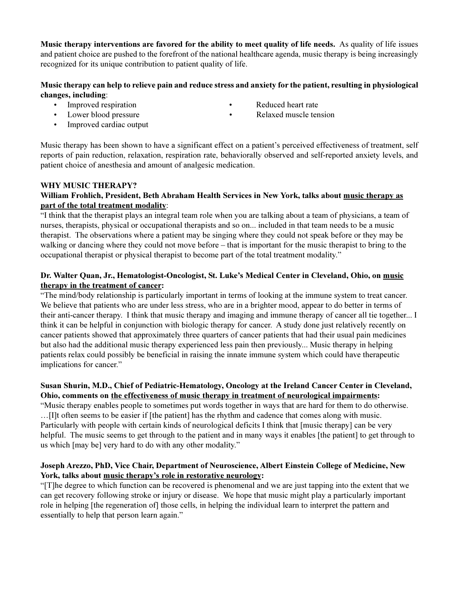Music therapy interventions are favored for the ability to meet quality of life needs. As quality of life issues and patient choice are pushed to the forefront of the national healthcare agenda, music therapy is being increasingly recognized for its unique contribution to patient quality of life.

#### Music therapy can help to relieve pain and reduce stress and anxiety for the patient, resulting in physiological changes, including:  $\bullet$

 $\bullet$ 

Improved respiration  $\bullet$ 

Reduced heart rate

Relaxed muscle tension

- Lower blood pressure
- Improved cardiac output  $\bullet$

Music therapy has been shown to have a significant effect on a patient's perceived effectiveness of treatment, self reports of pain reduction, relaxation, respiration rate, behaviorally observed and self-reported anxiety levels, and patient choice of anesthesia and amount of analgesic medication.

## **WHY MUSIC THERAPY?**

## William Frohlich, President, Beth Abraham Health Services in New York, talks about music therapy as part of the total treatment modality:

"I think that the therapist plays an integral team role when you are talking about a team of physicians, a team of nurses, therapists, physical or occupational therapists and so on... included in that team needs to be a music therapist. The observations where a patient may be singing where they could not speak before or they may be walking or dancing where they could not move before – that is important for the music therapist to bring to the occupational therapist or physical therapist to become part of the total treatment modality."

#### Dr. Walter Quan, Jr., Hematologist-Oncologist, St. Luke's Medical Center in Cleveland, Ohio, on music therapy in the treatment of cancer:

"The mind/body relationship is particularly important in terms of looking at the immune system to treat cancer. We believe that patients who are under less stress, who are in a brighter mood, appear to do better in terms of their anti-cancer therapy. I think that music therapy and imaging and immune therapy of cancer all tie together... I think it can be helpful in conjunction with biologic therapy for cancer. A study done just relatively recently on cancer patients showed that approximately three quarters of cancer patients that had their usual pain medicines but also had the additional music therapy experienced less pain then previously... Music therapy in helping patients relax could possibly be beneficial in raising the innate immune system which could have therapeutic implications for cancer."

## Susan Shurin, M.D., Chief of Pediatric-Hematology, Oncology at the Ireland Cancer Center in Cleveland, Ohio, comments on the effectiveness of music therapy in treatment of neurological impairments:

"Music therapy enables people to sometimes put words together in ways that are hard for them to do otherwise. ... [I] t often seems to be easier if [the patient] has the rhythm and cadence that comes along with music. Particularly with people with certain kinds of neurological deficits I think that [music therapy] can be very helpful. The music seems to get through to the patient and in many ways it enables [the patient] to get through to us which [may be] very hard to do with any other modality."

## Joseph Arezzo, PhD, Vice Chair, Department of Neuroscience, Albert Einstein College of Medicine, New York, talks about music therapy's role in restorative neurology:

"[T] he degree to which function can be recovered is phenomenal and we are just tapping into the extent that we can get recovery following stroke or injury or disease. We hope that music might play a particularly important role in helping [the regeneration of] those cells, in helping the individual learn to interpret the pattern and essentially to help that person learn again."